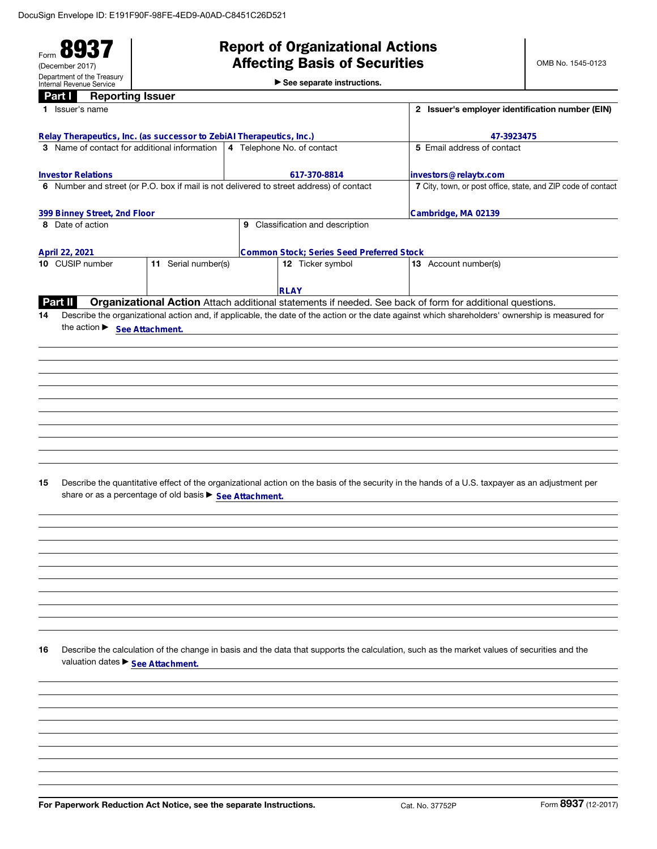Form 89 (December 2017) Department of the Treasury Internal Revenue Service

# Report of Organizational Actions Affecting Basis of Securities

OMB No. 1545-0123

| <b>Reporting Issuer</b><br>Part I                                                       |                                                         |                                                               |                                                                                                                                                 |  |  |  |
|-----------------------------------------------------------------------------------------|---------------------------------------------------------|---------------------------------------------------------------|-------------------------------------------------------------------------------------------------------------------------------------------------|--|--|--|
| 1 Issuer's name                                                                         |                                                         |                                                               | 2 Issuer's employer identification number (EIN)                                                                                                 |  |  |  |
| Relay Therapeutics, Inc. (as successor to ZebiAl Therapeutics, Inc.)                    |                                                         | 47-3923475                                                    |                                                                                                                                                 |  |  |  |
| 3 Name of contact for additional information                                            |                                                         | 5 Email address of contact                                    |                                                                                                                                                 |  |  |  |
|                                                                                         |                                                         |                                                               |                                                                                                                                                 |  |  |  |
| <b>Investor Relations</b>                                                               |                                                         | investors@relaytx.com                                         |                                                                                                                                                 |  |  |  |
| 6 Number and street (or P.O. box if mail is not delivered to street address) of contact |                                                         | 7 City, town, or post office, state, and ZIP code of contact  |                                                                                                                                                 |  |  |  |
| 399 Binney Street, 2nd Floor                                                            |                                                         | Cambridge, MA 02139                                           |                                                                                                                                                 |  |  |  |
| 8 Date of action                                                                        |                                                         |                                                               |                                                                                                                                                 |  |  |  |
|                                                                                         |                                                         |                                                               |                                                                                                                                                 |  |  |  |
| April 22, 2021<br>10 CUSIP number                                                       | 11 Serial number(s)                                     | Common Stock; Series Seed Preferred Stock<br>12 Ticker symbol | 13 Account number(s)                                                                                                                            |  |  |  |
|                                                                                         |                                                         |                                                               |                                                                                                                                                 |  |  |  |
|                                                                                         |                                                         | <b>RLAY</b>                                                   |                                                                                                                                                 |  |  |  |
| Part II                                                                                 |                                                         |                                                               | Organizational Action Attach additional statements if needed. See back of form for additional questions.                                        |  |  |  |
| 14                                                                                      |                                                         |                                                               | Describe the organizational action and, if applicable, the date of the action or the date against which shareholders' ownership is measured for |  |  |  |
| the action > See Attachment.                                                            |                                                         |                                                               |                                                                                                                                                 |  |  |  |
|                                                                                         |                                                         |                                                               |                                                                                                                                                 |  |  |  |
|                                                                                         |                                                         |                                                               |                                                                                                                                                 |  |  |  |
|                                                                                         |                                                         |                                                               |                                                                                                                                                 |  |  |  |
|                                                                                         |                                                         |                                                               |                                                                                                                                                 |  |  |  |
|                                                                                         |                                                         |                                                               |                                                                                                                                                 |  |  |  |
|                                                                                         |                                                         |                                                               |                                                                                                                                                 |  |  |  |
|                                                                                         |                                                         |                                                               |                                                                                                                                                 |  |  |  |
|                                                                                         |                                                         |                                                               |                                                                                                                                                 |  |  |  |
|                                                                                         |                                                         |                                                               |                                                                                                                                                 |  |  |  |
|                                                                                         |                                                         |                                                               |                                                                                                                                                 |  |  |  |
| 15                                                                                      |                                                         |                                                               | Describe the quantitative effect of the organizational action on the basis of the security in the hands of a U.S. taxpayer as an adjustment per |  |  |  |
|                                                                                         | share or as a percentage of old basis ▶ See Attachment. |                                                               |                                                                                                                                                 |  |  |  |
|                                                                                         |                                                         |                                                               |                                                                                                                                                 |  |  |  |
|                                                                                         |                                                         |                                                               |                                                                                                                                                 |  |  |  |
|                                                                                         |                                                         |                                                               |                                                                                                                                                 |  |  |  |
|                                                                                         |                                                         |                                                               |                                                                                                                                                 |  |  |  |
|                                                                                         |                                                         |                                                               |                                                                                                                                                 |  |  |  |
|                                                                                         |                                                         |                                                               |                                                                                                                                                 |  |  |  |
|                                                                                         |                                                         |                                                               |                                                                                                                                                 |  |  |  |
|                                                                                         |                                                         |                                                               |                                                                                                                                                 |  |  |  |
|                                                                                         |                                                         |                                                               |                                                                                                                                                 |  |  |  |
|                                                                                         |                                                         |                                                               |                                                                                                                                                 |  |  |  |
|                                                                                         |                                                         |                                                               |                                                                                                                                                 |  |  |  |
| 16                                                                                      |                                                         |                                                               | Describe the calculation of the change in basis and the data that supports the calculation, such as the market values of securities and the     |  |  |  |
| valuation dates ▶ See Attachment.                                                       |                                                         |                                                               |                                                                                                                                                 |  |  |  |
|                                                                                         |                                                         |                                                               |                                                                                                                                                 |  |  |  |
|                                                                                         |                                                         |                                                               |                                                                                                                                                 |  |  |  |
|                                                                                         |                                                         |                                                               |                                                                                                                                                 |  |  |  |
|                                                                                         |                                                         |                                                               |                                                                                                                                                 |  |  |  |
|                                                                                         |                                                         |                                                               |                                                                                                                                                 |  |  |  |
|                                                                                         |                                                         |                                                               |                                                                                                                                                 |  |  |  |
|                                                                                         |                                                         |                                                               |                                                                                                                                                 |  |  |  |
|                                                                                         |                                                         |                                                               |                                                                                                                                                 |  |  |  |
|                                                                                         |                                                         |                                                               |                                                                                                                                                 |  |  |  |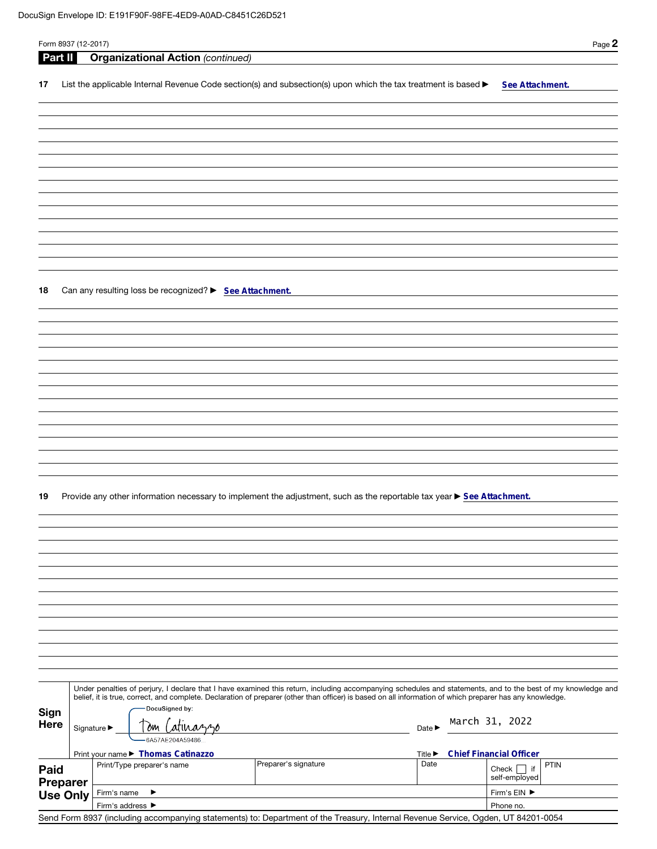| Form 8937 (12-2017) |                   |                                                         |                  |                                                                                                                                                                                                                                                                                                                          |                      |                             |  |                                    | Page 2      |  |
|---------------------|-------------------|---------------------------------------------------------|------------------|--------------------------------------------------------------------------------------------------------------------------------------------------------------------------------------------------------------------------------------------------------------------------------------------------------------------------|----------------------|-----------------------------|--|------------------------------------|-------------|--|
| Part II             |                   | <b>Organizational Action (continued)</b>                |                  |                                                                                                                                                                                                                                                                                                                          |                      |                             |  |                                    |             |  |
| 17                  |                   |                                                         |                  | List the applicable Internal Revenue Code section(s) and subsection(s) upon which the tax treatment is based $\blacktriangleright$                                                                                                                                                                                       |                      |                             |  | See Attachment.                    |             |  |
|                     |                   |                                                         |                  |                                                                                                                                                                                                                                                                                                                          |                      |                             |  |                                    |             |  |
|                     |                   |                                                         |                  |                                                                                                                                                                                                                                                                                                                          |                      |                             |  |                                    |             |  |
|                     |                   |                                                         |                  |                                                                                                                                                                                                                                                                                                                          |                      |                             |  |                                    |             |  |
|                     |                   |                                                         |                  |                                                                                                                                                                                                                                                                                                                          |                      |                             |  |                                    |             |  |
|                     |                   |                                                         |                  |                                                                                                                                                                                                                                                                                                                          |                      |                             |  |                                    |             |  |
|                     |                   |                                                         |                  |                                                                                                                                                                                                                                                                                                                          |                      |                             |  |                                    |             |  |
|                     |                   |                                                         |                  |                                                                                                                                                                                                                                                                                                                          |                      |                             |  |                                    |             |  |
|                     |                   |                                                         |                  |                                                                                                                                                                                                                                                                                                                          |                      |                             |  |                                    |             |  |
|                     |                   |                                                         |                  |                                                                                                                                                                                                                                                                                                                          |                      |                             |  |                                    |             |  |
|                     |                   |                                                         |                  |                                                                                                                                                                                                                                                                                                                          |                      |                             |  |                                    |             |  |
|                     |                   |                                                         |                  |                                                                                                                                                                                                                                                                                                                          |                      |                             |  |                                    |             |  |
| 18                  |                   | Can any resulting loss be recognized? > See Attachment. |                  |                                                                                                                                                                                                                                                                                                                          |                      |                             |  |                                    |             |  |
|                     |                   |                                                         |                  |                                                                                                                                                                                                                                                                                                                          |                      |                             |  |                                    |             |  |
|                     |                   |                                                         |                  |                                                                                                                                                                                                                                                                                                                          |                      |                             |  |                                    |             |  |
|                     |                   |                                                         |                  |                                                                                                                                                                                                                                                                                                                          |                      |                             |  |                                    |             |  |
|                     |                   |                                                         |                  |                                                                                                                                                                                                                                                                                                                          |                      |                             |  |                                    |             |  |
|                     |                   |                                                         |                  |                                                                                                                                                                                                                                                                                                                          |                      |                             |  |                                    |             |  |
|                     |                   |                                                         |                  |                                                                                                                                                                                                                                                                                                                          |                      |                             |  |                                    |             |  |
|                     |                   |                                                         |                  |                                                                                                                                                                                                                                                                                                                          |                      |                             |  |                                    |             |  |
|                     |                   |                                                         |                  |                                                                                                                                                                                                                                                                                                                          |                      |                             |  |                                    |             |  |
|                     |                   |                                                         |                  |                                                                                                                                                                                                                                                                                                                          |                      |                             |  |                                    |             |  |
|                     |                   |                                                         |                  |                                                                                                                                                                                                                                                                                                                          |                      |                             |  |                                    |             |  |
|                     |                   |                                                         |                  |                                                                                                                                                                                                                                                                                                                          |                      |                             |  |                                    |             |  |
| 19                  |                   |                                                         |                  | Provide any other information necessary to implement the adjustment, such as the reportable tax year ▶ See Attachment.                                                                                                                                                                                                   |                      |                             |  |                                    |             |  |
|                     |                   |                                                         |                  |                                                                                                                                                                                                                                                                                                                          |                      |                             |  |                                    |             |  |
|                     |                   |                                                         |                  |                                                                                                                                                                                                                                                                                                                          |                      |                             |  |                                    |             |  |
|                     |                   |                                                         |                  |                                                                                                                                                                                                                                                                                                                          |                      |                             |  |                                    |             |  |
|                     |                   |                                                         |                  |                                                                                                                                                                                                                                                                                                                          |                      |                             |  |                                    |             |  |
|                     |                   |                                                         |                  |                                                                                                                                                                                                                                                                                                                          |                      |                             |  |                                    |             |  |
|                     |                   |                                                         |                  |                                                                                                                                                                                                                                                                                                                          |                      |                             |  |                                    |             |  |
|                     |                   |                                                         |                  |                                                                                                                                                                                                                                                                                                                          |                      |                             |  |                                    |             |  |
|                     |                   |                                                         |                  |                                                                                                                                                                                                                                                                                                                          |                      |                             |  |                                    |             |  |
|                     |                   |                                                         |                  |                                                                                                                                                                                                                                                                                                                          |                      |                             |  |                                    |             |  |
|                     |                   |                                                         |                  |                                                                                                                                                                                                                                                                                                                          |                      |                             |  |                                    |             |  |
|                     |                   |                                                         |                  |                                                                                                                                                                                                                                                                                                                          |                      |                             |  |                                    |             |  |
|                     |                   |                                                         |                  | Under penalties of perjury, I declare that I have examined this return, including accompanying schedules and statements, and to the best of my knowledge and<br>belief, it is true, correct, and complete. Declaration of preparer (other than officer) is based on all information of which preparer has any knowledge. |                      |                             |  |                                    |             |  |
| Sign                |                   | DocuSigned by:                                          |                  |                                                                                                                                                                                                                                                                                                                          |                      |                             |  |                                    |             |  |
| <b>Here</b>         | 0m<br>Signature ▶ |                                                         |                  | Date $\blacktriangleright$                                                                                                                                                                                                                                                                                               |                      | March 31, 2022              |  |                                    |             |  |
|                     |                   |                                                         | 6A57AE204A59486. |                                                                                                                                                                                                                                                                                                                          |                      |                             |  |                                    |             |  |
|                     |                   | Print your name > Thomas Catinazzo                      |                  |                                                                                                                                                                                                                                                                                                                          |                      | Title $\blacktriangleright$ |  | <b>Chief Financial Officer</b>     |             |  |
| Paid                |                   | Print/Type preparer's name                              |                  |                                                                                                                                                                                                                                                                                                                          | Preparer's signature | Date                        |  | $Check$    <br>if<br>self-employed | <b>PTIN</b> |  |
| <b>Preparer</b>     | Firm's name<br>▸  |                                                         |                  |                                                                                                                                                                                                                                                                                                                          |                      |                             |  | Firm's EIN ▶                       |             |  |
| <b>Use Only</b>     |                   | Firm's address ▶                                        |                  |                                                                                                                                                                                                                                                                                                                          |                      |                             |  | Phone no.                          |             |  |
|                     |                   |                                                         |                  | Send Form 8937 (including accompanying statements) to: Department of the Treasury, Internal Revenue Service, Ogden, UT 84201-0054                                                                                                                                                                                        |                      |                             |  |                                    |             |  |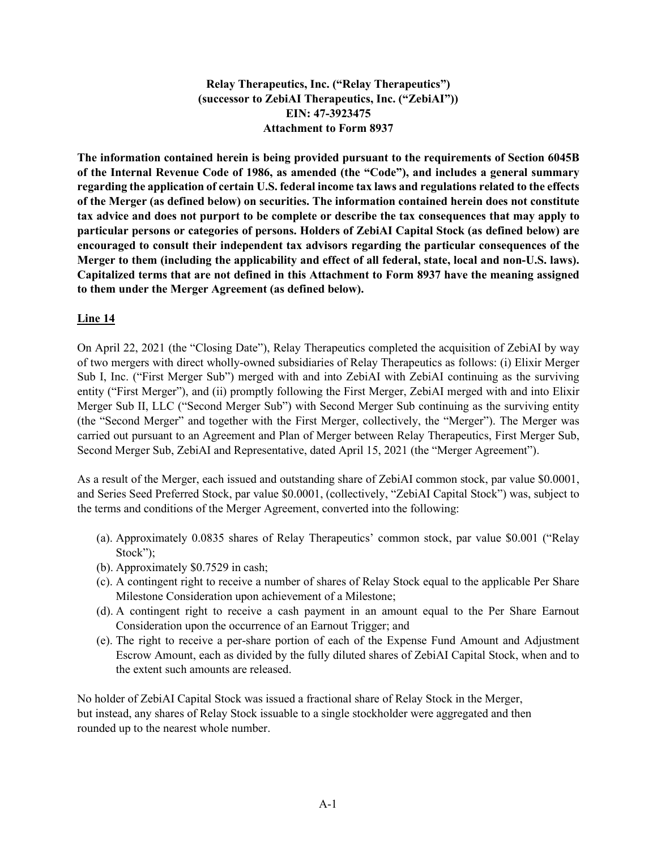**Relay Therapeutics, Inc. ("Relay Therapeutics") (successor to ZebiAI Therapeutics, Inc. ("ZebiAI")) EIN: 47-3923475 Attachment to Form 8937** 

**The information contained herein is being provided pursuant to the requirements of Section 6045B of the Internal Revenue Code of 1986, as amended (the "Code"), and includes a general summary regarding the application of certain U.S. federal income tax laws and regulations related to the effects of the Merger (as defined below) on securities. The information contained herein does not constitute tax advice and does not purport to be complete or describe the tax consequences that may apply to particular persons or categories of persons. Holders of ZebiAI Capital Stock (as defined below) are encouraged to consult their independent tax advisors regarding the particular consequences of the Merger to them (including the applicability and effect of all federal, state, local and non-U.S. laws). Capitalized terms that are not defined in this Attachment to Form 8937 have the meaning assigned to them under the Merger Agreement (as defined below).**

### **Line 14**

On April 22, 2021 (the "Closing Date"), Relay Therapeutics completed the acquisition of ZebiAI by way of two mergers with direct wholly-owned subsidiaries of Relay Therapeutics as follows: (i) Elixir Merger Sub I, Inc. ("First Merger Sub") merged with and into ZebiAI with ZebiAI continuing as the surviving entity ("First Merger"), and (ii) promptly following the First Merger, ZebiAI merged with and into Elixir Merger Sub II, LLC ("Second Merger Sub") with Second Merger Sub continuing as the surviving entity (the "Second Merger" and together with the First Merger, collectively, the "Merger"). The Merger was carried out pursuant to an Agreement and Plan of Merger between Relay Therapeutics, First Merger Sub, Second Merger Sub, ZebiAI and Representative, dated April 15, 2021 (the "Merger Agreement").

As a result of the Merger, each issued and outstanding share of ZebiAI common stock, par value \$0.0001, and Series Seed Preferred Stock, par value \$0.0001, (collectively, "ZebiAI Capital Stock") was, subject to the terms and conditions of the Merger Agreement, converted into the following:

- (a). Approximately 0.0835 shares of Relay Therapeutics' common stock, par value \$0.001 ("Relay Stock");
- (b). Approximately \$0.7529 in cash;
- (c). A contingent right to receive a number of shares of Relay Stock equal to the applicable Per Share Milestone Consideration upon achievement of a Milestone;
- (d). A contingent right to receive a cash payment in an amount equal to the Per Share Earnout Consideration upon the occurrence of an Earnout Trigger; and
- (e). The right to receive a per-share portion of each of the Expense Fund Amount and Adjustment Escrow Amount, each as divided by the fully diluted shares of ZebiAI Capital Stock, when and to the extent such amounts are released.

No holder of ZebiAI Capital Stock was issued a fractional share of Relay Stock in the Merger, but instead, any shares of Relay Stock issuable to a single stockholder were aggregated and then rounded up to the nearest whole number.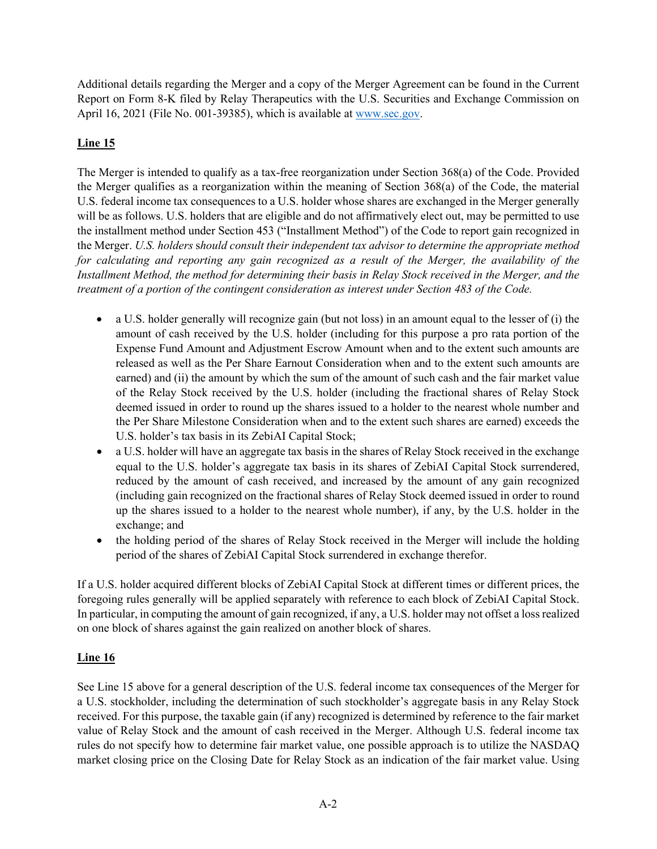Additional details regarding the Merger and a copy of the Merger Agreement can be found in the Current Report on Form 8-K filed by Relay Therapeutics with the U.S. Securities and Exchange Commission on April 16, 2021 (File No. 001-39385), which is available at [www.sec.gov.](http://www.sec.gov/)

## **Line 15**

The Merger is intended to qualify as a tax-free reorganization under Section 368(a) of the Code. Provided the Merger qualifies as a reorganization within the meaning of Section 368(a) of the Code, the material U.S. federal income tax consequences to a U.S. holder whose shares are exchanged in the Merger generally will be as follows. U.S. holders that are eligible and do not affirmatively elect out, may be permitted to use the installment method under Section 453 ("Installment Method") of the Code to report gain recognized in the Merger. *U.S. holders* s*hould consult their independent tax advisor to determine the appropriate method*  for calculating and reporting any gain recognized as a result of the Merger, the availability of the *Installment Method, the method for determining their basis in Relay Stock received in the Merger, and the treatment of a portion of the contingent consideration as interest under Section 483 of the Code.*

- a U.S. holder generally will recognize gain (but not loss) in an amount equal to the lesser of (i) the amount of cash received by the U.S. holder (including for this purpose a pro rata portion of the Expense Fund Amount and Adjustment Escrow Amount when and to the extent such amounts are released as well as the Per Share Earnout Consideration when and to the extent such amounts are earned) and (ii) the amount by which the sum of the amount of such cash and the fair market value of the Relay Stock received by the U.S. holder (including the fractional shares of Relay Stock deemed issued in order to round up the shares issued to a holder to the nearest whole number and the Per Share Milestone Consideration when and to the extent such shares are earned) exceeds the U.S. holder's tax basis in its ZebiAI Capital Stock;
- a U.S. holder will have an aggregate tax basis in the shares of Relay Stock received in the exchange equal to the U.S. holder's aggregate tax basis in its shares of ZebiAI Capital Stock surrendered, reduced by the amount of cash received, and increased by the amount of any gain recognized (including gain recognized on the fractional shares of Relay Stock deemed issued in order to round up the shares issued to a holder to the nearest whole number), if any, by the U.S. holder in the exchange; and
- the holding period of the shares of Relay Stock received in the Merger will include the holding period of the shares of ZebiAI Capital Stock surrendered in exchange therefor.

If a U.S. holder acquired different blocks of ZebiAI Capital Stock at different times or different prices, the foregoing rules generally will be applied separately with reference to each block of ZebiAI Capital Stock. In particular, in computing the amount of gain recognized, if any, a U.S. holder may not offset a loss realized on one block of shares against the gain realized on another block of shares.

## **Line 16**

See Line 15 above for a general description of the U.S. federal income tax consequences of the Merger for a U.S. stockholder, including the determination of such stockholder's aggregate basis in any Relay Stock received. For this purpose, the taxable gain (if any) recognized is determined by reference to the fair market value of Relay Stock and the amount of cash received in the Merger. Although U.S. federal income tax rules do not specify how to determine fair market value, one possible approach is to utilize the NASDAQ market closing price on the Closing Date for Relay Stock as an indication of the fair market value. Using